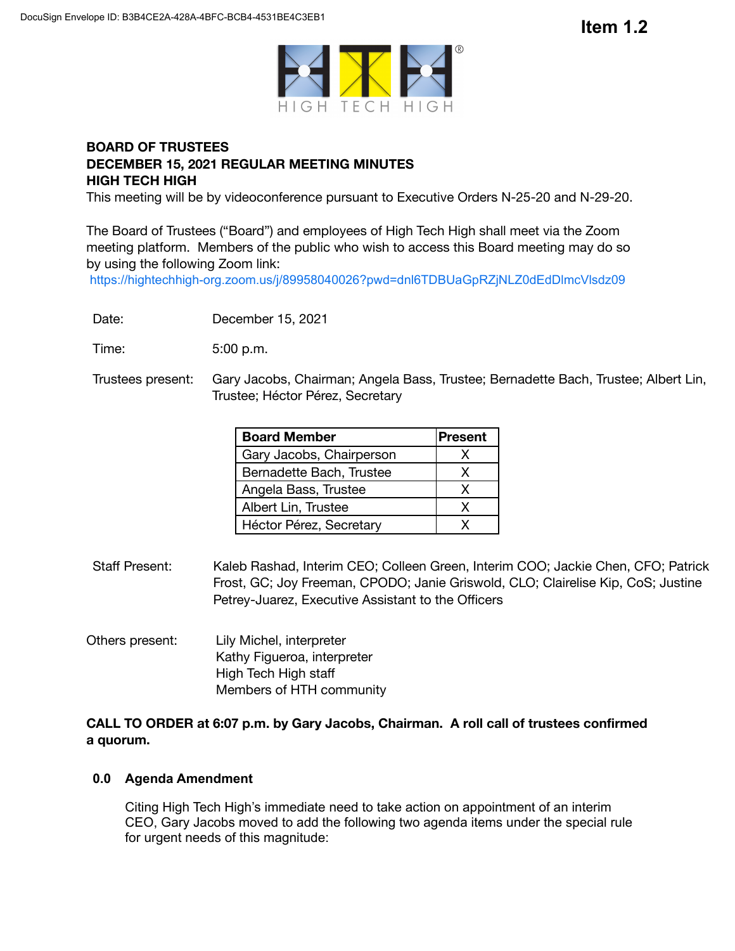

# **BOARD OF TRUSTEES DECEMBER 15, 2021 REGULAR MEETING MINUTES HIGH TECH HIGH**

This meeting will be by videoconference pursuant to Executive Orders N-25-20 and N-29-20.

The Board of Trustees ("Board") and employees of High Tech High shall meet via the Zoom meeting platform. Members of the public who wish to access this Board meeting may do so by using the following Zoom link:

https://hightechhigh-org.zoom.us/j/89958040026?pwd=dnl6TDBUaGpRZjNLZ0dEdDlmcVlsdz09

Date: December 15, 2021

Time: 5:00 p.m.

Trustees present: Gary Jacobs, Chairman; Angela Bass, Trustee; Bernadette Bach, Trustee; Albert Lin, Trustee; Héctor Pérez, Secretary

| <b>Board Member</b>      | Present |
|--------------------------|---------|
| Gary Jacobs, Chairperson | x       |
| Bernadette Bach, Trustee | x       |
| Angela Bass, Trustee     | x       |
| Albert Lin, Trustee      | x       |
| Héctor Pérez, Secretary  |         |

- Staff Present: Kaleb Rashad, Interim CEO; Colleen Green, Interim COO; Jackie Chen, CFO; Patrick Frost, GC; Joy Freeman, CPODO; Janie Griswold, CLO; Clairelise Kip, CoS; Justine Petrey-Juarez, Executive Assistant to the Officers
- Others present: Lily Michel, interpreter Kathy Figueroa, interpreter High Tech High staff Members of HTH community

## **CALL TO ORDER at 6:07 p.m. by Gary Jacobs, Chairman. A roll call of trustees confirmed a quorum.**

## **0.0 Agenda Amendment**

Citing High Tech High's immediate need to take action on appointment of an interim CEO, Gary Jacobs moved to add the following two agenda items under the special rule for urgent needs of this magnitude: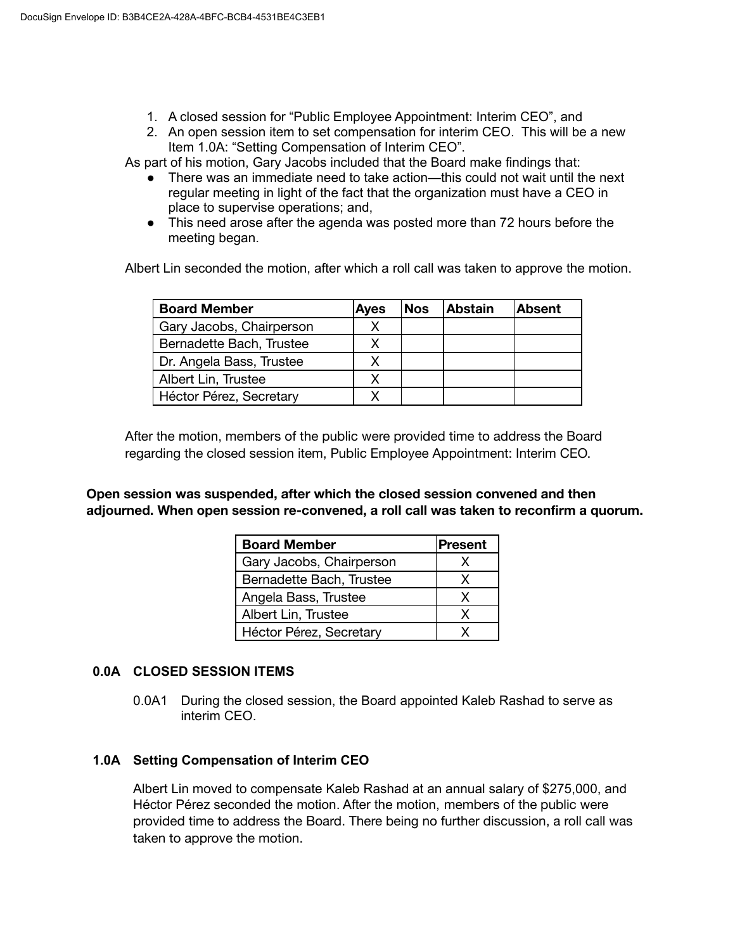- 1. A closed session for "Public Employee Appointment: Interim CEO", and
- 2. An open session item to set compensation for interim CEO. This will be a new Item 1.0A: "Setting Compensation of Interim CEO".

As part of his motion, Gary Jacobs included that the Board make findings that:

- There was an immediate need to take action—this could not wait until the next regular meeting in light of the fact that the organization must have a CEO in place to supervise operations; and,
- This need arose after the agenda was posted more than 72 hours before the meeting began.

Albert Lin seconded the motion, after which a roll call was taken to approve the motion.

| <b>Board Member</b>      | Ayes | <b>Nos</b> | <b>Abstain</b> | <b>Absent</b> |
|--------------------------|------|------------|----------------|---------------|
| Gary Jacobs, Chairperson |      |            |                |               |
| Bernadette Bach, Trustee |      |            |                |               |
| Dr. Angela Bass, Trustee |      |            |                |               |
| Albert Lin, Trustee      | x    |            |                |               |
| Héctor Pérez, Secretary  |      |            |                |               |

After the motion, members of the public were provided time to address the Board regarding the closed session item, Public Employee Appointment: Interim CEO.

**Open session was suspended, after which the closed session convened and then adjourned. When open session re-convened, a roll call was taken to reconfirm a quorum.**

| <b>Board Member</b>      | <b>Present</b> |
|--------------------------|----------------|
| Gary Jacobs, Chairperson |                |
| Bernadette Bach, Trustee | x              |
| Angela Bass, Trustee     | X              |
| Albert Lin, Trustee      |                |
| Héctor Pérez, Secretary  |                |

# **0.0A CLOSED SESSION ITEMS**

0.0A1 During the closed session, the Board appointed Kaleb Rashad to serve as interim CEO.

# **1.0A Setting Compensation of Interim CEO**

Albert Lin moved to compensate Kaleb Rashad at an annual salary of \$275,000, and Héctor Pérez seconded the motion. After the motion, members of the public were provided time to address the Board. There being no further discussion, a roll call was taken to approve the motion.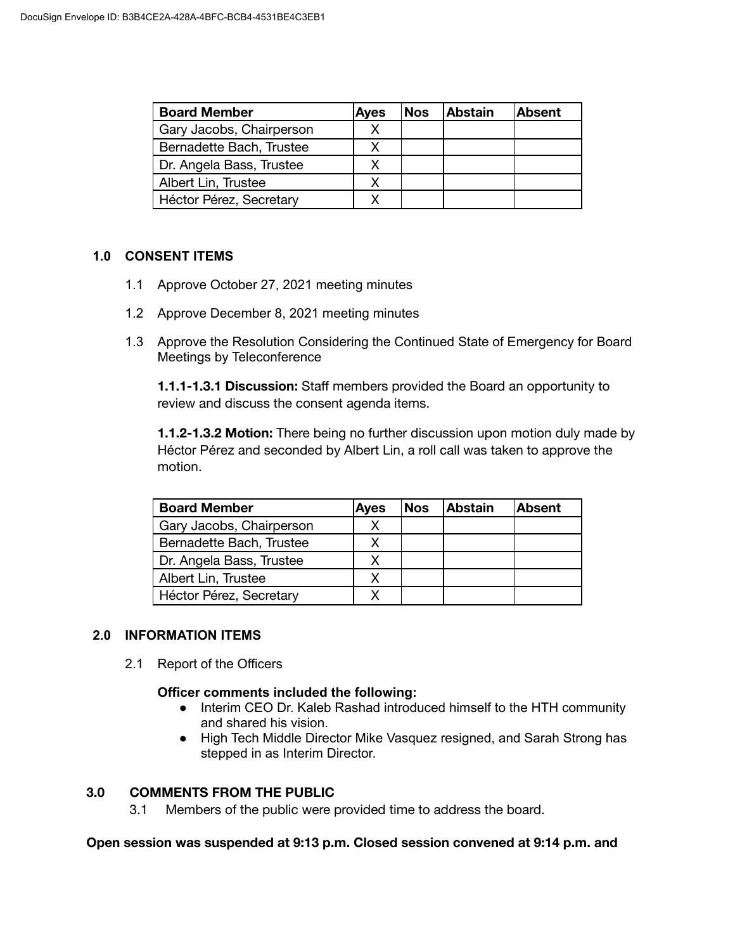| <b>Board Member</b>      | <b>Ayes</b> | <b>Nos</b> | <b>Abstain</b> | <b>Absent</b> |
|--------------------------|-------------|------------|----------------|---------------|
| Gary Jacobs, Chairperson |             |            |                |               |
| Bernadette Bach, Trustee |             |            |                |               |
| Dr. Angela Bass, Trustee |             |            |                |               |
| Albert Lin, Trustee      |             |            |                |               |
| Héctor Pérez, Secretary  |             |            |                |               |

#### **1.0 CONSENT ITEMS**

- 1.1 Approve October 27, 2021 meeting minutes
- 1.2 Approve December 8, 2021 meeting minutes
- 1.3 Approve the Resolution Considering the Continued State of Emergency for Board Meetings by Teleconference

**1.1.1-1.3.1 Discussion:** Staff members provided the Board an opportunity to review and discuss the consent agenda items.

**1.1.2-1.3.2 Motion:** There being no further discussion upon motion duly made by Héctor Pérez and seconded by Albert Lin, a roll call was taken to approve the motion.

| <b>Board Member</b>      | <b>Ayes</b> | <b>Nos</b> | <b>Abstain</b> | Absent |
|--------------------------|-------------|------------|----------------|--------|
| Gary Jacobs, Chairperson |             |            |                |        |
| Bernadette Bach, Trustee |             |            |                |        |
| Dr. Angela Bass, Trustee |             |            |                |        |
| Albert Lin, Trustee      |             |            |                |        |
| Héctor Pérez, Secretary  |             |            |                |        |

## **2.0 INFORMATION ITEMS**

2.1 Report of the Officers

#### **Officer comments included the following:**

- Interim CEO Dr. Kaleb Rashad introduced himself to the HTH community and shared his vision.
- High Tech Middle Director Mike Vasquez resigned, and Sarah Strong has stepped in as Interim Director.

## **3.0 COMMENTS FROM THE PUBLIC**

3.1 Members of the public were provided time to address the board.

#### **Open session was suspended at 9:13 p.m. Closed session convened at 9:14 p.m. and**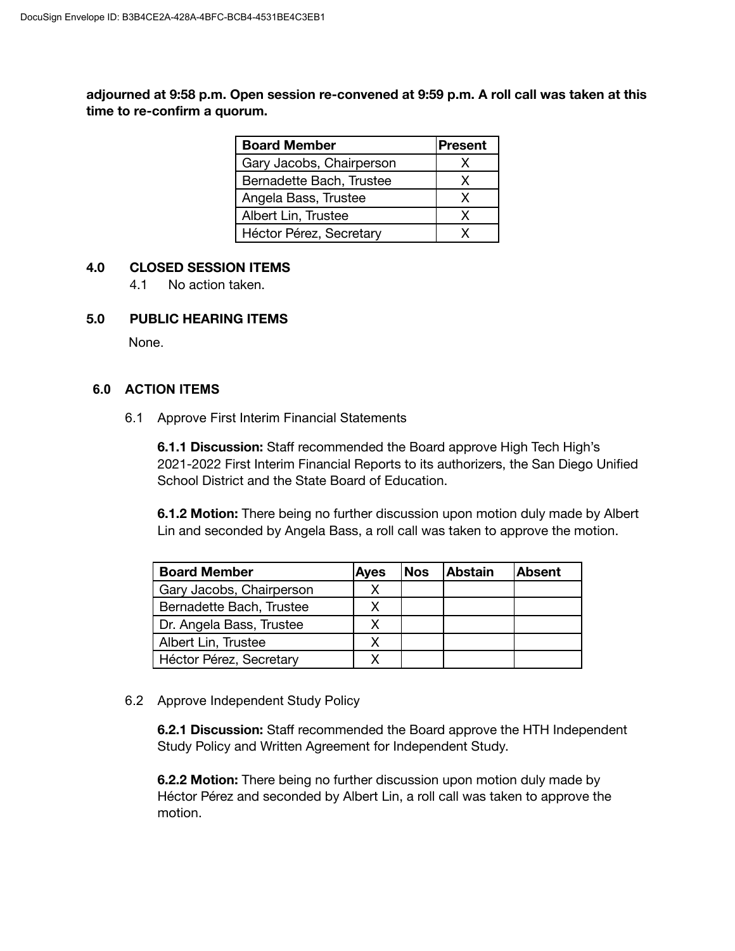**adjourned at 9:58 p.m. Open session re-convened at 9:59 p.m. A roll call was taken at this time to re-confirm a quorum.**

| <b>Board Member</b>      | Present |
|--------------------------|---------|
| Gary Jacobs, Chairperson | x       |
| Bernadette Bach, Trustee | X       |
| Angela Bass, Trustee     | x       |
| Albert Lin, Trustee      | x       |
| Héctor Pérez, Secretary  |         |

#### **4.0 CLOSED SESSION ITEMS**

4.1 No action taken.

#### **5.0 PUBLIC HEARING ITEMS**

None.

## **6.0 ACTION ITEMS**

6.1 Approve First Interim Financial Statements

**6.1.1 Discussion:** Staff recommended the Board approve High Tech High's 2021-2022 First Interim Financial Reports to its authorizers, the San Diego Unified School District and the State Board of Education.

**6.1.2 Motion:** There being no further discussion upon motion duly made by Albert Lin and seconded by Angela Bass, a roll call was taken to approve the motion.

| <b>Board Member</b>      | <b>Ayes</b> | <b>Nos</b> | <b>Abstain</b> | lAbsent |
|--------------------------|-------------|------------|----------------|---------|
| Gary Jacobs, Chairperson |             |            |                |         |
| Bernadette Bach, Trustee |             |            |                |         |
| Dr. Angela Bass, Trustee |             |            |                |         |
| Albert Lin, Trustee      |             |            |                |         |
| Héctor Pérez, Secretary  |             |            |                |         |

6.2 Approve Independent Study Policy

**6.2.1 Discussion:** Staff recommended the Board approve the HTH Independent Study Policy and Written Agreement for Independent Study.

**6.2.2 Motion:** There being no further discussion upon motion duly made by Héctor Pérez and seconded by Albert Lin, a roll call was taken to approve the motion.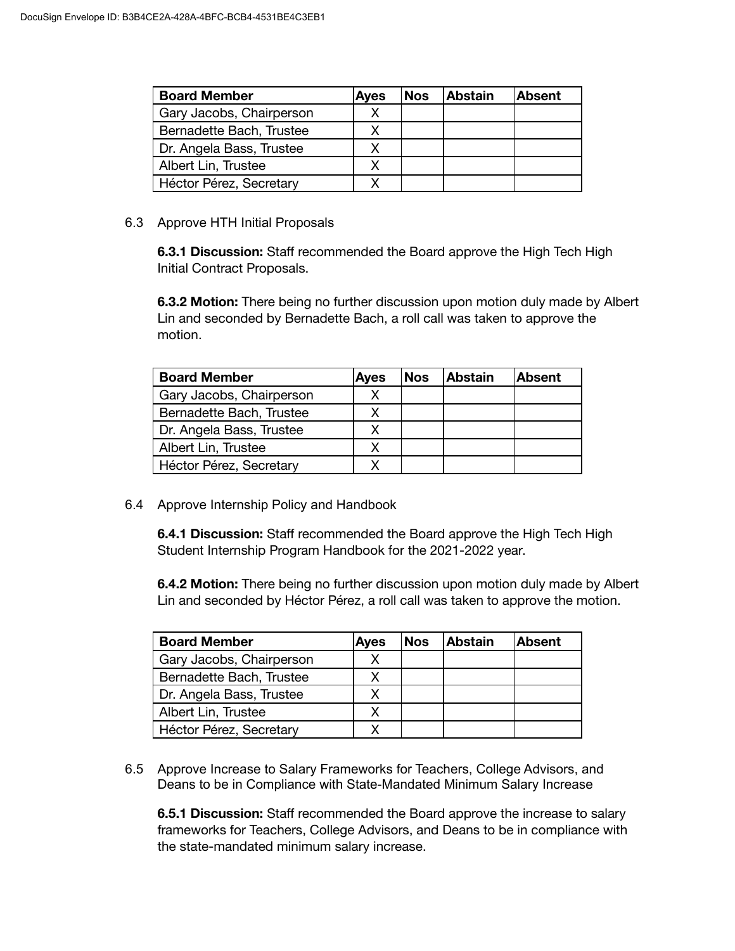| <b>Board Member</b>      | <b>Ayes</b> | <b>Nos</b> | <b>Abstain</b> | <b>Absent</b> |
|--------------------------|-------------|------------|----------------|---------------|
| Gary Jacobs, Chairperson |             |            |                |               |
| Bernadette Bach, Trustee |             |            |                |               |
| Dr. Angela Bass, Trustee |             |            |                |               |
| Albert Lin, Trustee      |             |            |                |               |
| Héctor Pérez, Secretary  |             |            |                |               |

### 6.3 Approve HTH Initial Proposals

**6.3.1 Discussion:** Staff recommended the Board approve the High Tech High Initial Contract Proposals.

**6.3.2 Motion:** There being no further discussion upon motion duly made by Albert Lin and seconded by Bernadette Bach, a roll call was taken to approve the motion.

| <b>Board Member</b>      | <b>Ayes</b> | <b>Nos</b> | <b>Abstain</b> | <b>Absent</b> |
|--------------------------|-------------|------------|----------------|---------------|
| Gary Jacobs, Chairperson | х           |            |                |               |
| Bernadette Bach, Trustee |             |            |                |               |
| Dr. Angela Bass, Trustee | х           |            |                |               |
| Albert Lin, Trustee      |             |            |                |               |
| Héctor Pérez, Secretary  |             |            |                |               |

6.4 Approve Internship Policy and Handbook

**6.4.1 Discussion:** Staff recommended the Board approve the High Tech High Student Internship Program Handbook for the 2021-2022 year.

**6.4.2 Motion:** There being no further discussion upon motion duly made by Albert Lin and seconded by Héctor Pérez, a roll call was taken to approve the motion.

| <b>Board Member</b>      | <b>Ayes</b> | <b>Nos</b> | <b>Abstain</b> | <b>Absent</b> |
|--------------------------|-------------|------------|----------------|---------------|
| Gary Jacobs, Chairperson |             |            |                |               |
| Bernadette Bach, Trustee |             |            |                |               |
| Dr. Angela Bass, Trustee |             |            |                |               |
| Albert Lin, Trustee      |             |            |                |               |
| Héctor Pérez, Secretary  |             |            |                |               |

6.5 Approve Increase to Salary Frameworks for Teachers, College Advisors, and Deans to be in Compliance with State-Mandated Minimum Salary Increase

**6.5.1 Discussion:** Staff recommended the Board approve the increase to salary frameworks for Teachers, College Advisors, and Deans to be in compliance with the state-mandated minimum salary increase.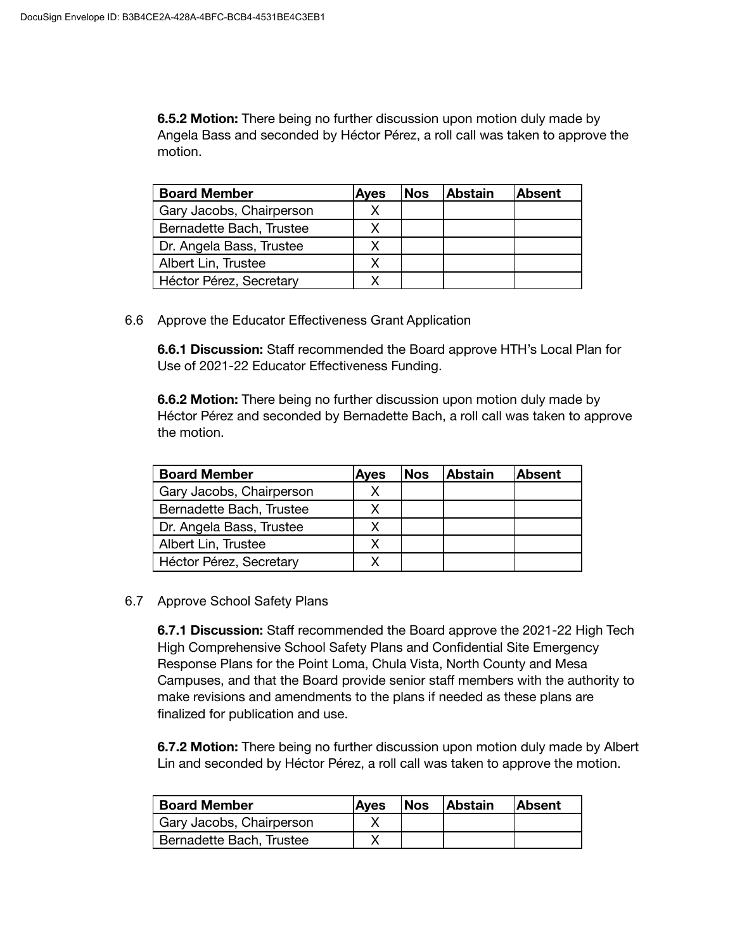**6.5.2 Motion:** There being no further discussion upon motion duly made by Angela Bass and seconded by Héctor Pérez, a roll call was taken to approve the motion.

| <b>Board Member</b>      | <b>Ayes</b> | <b>Nos</b> | <b>Abstain</b> | lAbsent |
|--------------------------|-------------|------------|----------------|---------|
| Gary Jacobs, Chairperson |             |            |                |         |
| Bernadette Bach, Trustee |             |            |                |         |
| Dr. Angela Bass, Trustee |             |            |                |         |
| Albert Lin, Trustee      |             |            |                |         |
| Héctor Pérez, Secretary  |             |            |                |         |

6.6 Approve the Educator Effectiveness Grant Application

**6.6.1 Discussion:** Staff recommended the Board approve HTH's Local Plan for Use of 2021-22 Educator Effectiveness Funding.

**6.6.2 Motion:** There being no further discussion upon motion duly made by Héctor Pérez and seconded by Bernadette Bach, a roll call was taken to approve the motion.

| <b>Board Member</b>      | <b>Ayes</b> | <b>Nos</b> | <b>Abstain</b> | lAbsent |
|--------------------------|-------------|------------|----------------|---------|
| Gary Jacobs, Chairperson |             |            |                |         |
| Bernadette Bach, Trustee |             |            |                |         |
| Dr. Angela Bass, Trustee |             |            |                |         |
| Albert Lin, Trustee      |             |            |                |         |
| Héctor Pérez, Secretary  |             |            |                |         |

# 6.7 Approve School Safety Plans

**6.7.1 Discussion:** Staff recommended the Board approve the 2021-22 High Tech High Comprehensive School Safety Plans and Confidential Site Emergency Response Plans for the Point Loma, Chula Vista, North County and Mesa Campuses, and that the Board provide senior staff members with the authority to make revisions and amendments to the plans if needed as these plans are finalized for publication and use.

**6.7.2 Motion:** There being no further discussion upon motion duly made by Albert Lin and seconded by Héctor Pérez, a roll call was taken to approve the motion.

| <b>Board Member</b>      | Aves | <i><b>Nos</b></i> | <b>Abstain</b> | <b>Absent</b> |
|--------------------------|------|-------------------|----------------|---------------|
| Gary Jacobs, Chairperson |      |                   |                |               |
| Bernadette Bach, Trustee |      |                   |                |               |